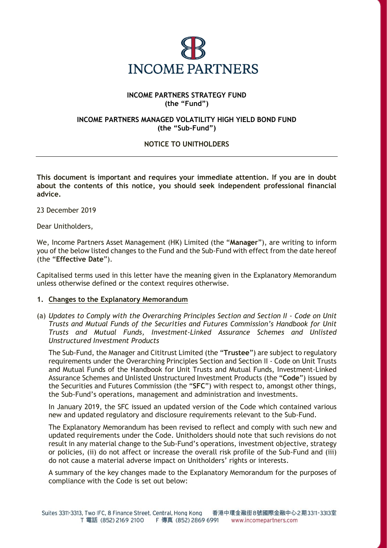

## **INCOME PARTNERS STRATEGY FUND (the "Fund")**

## **INCOME PARTNERS MANAGED VOLATILITY HIGH YIELD BOND FUND (the "Sub-Fund")**

# **NOTICE TO UNITHOLDERS**

**This document is important and requires your immediate attention. If you are in doubt about the contents of this notice, you should seek independent professional financial advice.**

23 December 2019

Dear Unitholders,

We, Income Partners Asset Management (HK) Limited (the "**Manager**"), are writing to inform you of the below listed changes to the Fund and the Sub-Fund with effect from the date hereof (the "**Effective Date**").

Capitalised terms used in this letter have the meaning given in the Explanatory Memorandum unless otherwise defined or the context requires otherwise.

## **1. Changes to the Explanatory Memorandum**

(a) *Updates to Comply with the Overarching Principles Section and Section II - Code on Unit Trusts and Mutual Funds of the Securities and Futures Commission's Handbook for Unit Trusts and Mutual Funds, Investment-Linked Assurance Schemes and Unlisted Unstructured Investment Products*

The Sub-Fund, the Manager and Cititrust Limited (the "**Trustee**") are subject to regulatory requirements under the Overarching Principles Section and Section II - Code on Unit Trusts and Mutual Funds of the Handbook for Unit Trusts and Mutual Funds, Investment-Linked Assurance Schemes and Unlisted Unstructured Investment Products (the "**Code**") issued by the Securities and Futures Commission (the "**SFC**") with respect to, amongst other things, the Sub-Fund's operations, management and administration and investments.

In January 2019, the SFC issued an updated version of the Code which contained various new and updated regulatory and disclosure requirements relevant to the Sub-Fund.

The Explanatory Memorandum has been revised to reflect and comply with such new and updated requirements under the Code. Unitholders should note that such revisions do not result in any material change to the Sub-Fund's operations, investment objective, strategy or policies, (ii) do not affect or increase the overall risk profile of the Sub-Fund and (iii) do not cause a material adverse impact on Unitholders' rights or interests.

A summary of the key changes made to the Explanatory Memorandum for the purposes of compliance with the Code is set out below: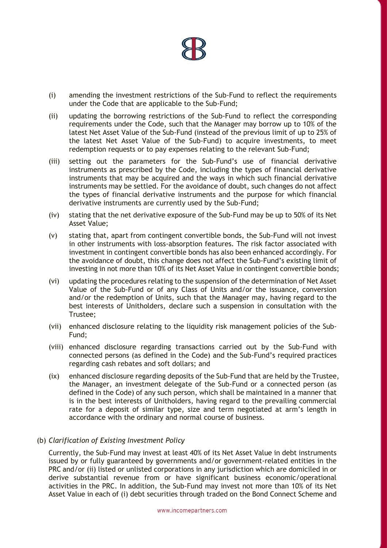

- (i) amending the investment restrictions of the Sub-Fund to reflect the requirements under the Code that are applicable to the Sub-Fund;
- (ii) updating the borrowing restrictions of the Sub-Fund to reflect the corresponding requirements under the Code, such that the Manager may borrow up to 10% of the latest Net Asset Value of the Sub-Fund (instead of the previous limit of up to 25% of the latest Net Asset Value of the Sub-Fund) to acquire investments, to meet redemption requests or to pay expenses relating to the relevant Sub-Fund;
- (iii) setting out the parameters for the Sub-Fund's use of financial derivative instruments as prescribed by the Code, including the types of financial derivative instruments that may be acquired and the ways in which such financial derivative instruments may be settled. For the avoidance of doubt, such changes do not affect the types of financial derivative instruments and the purpose for which financial derivative instruments are currently used by the Sub-Fund;
- (iv) stating that the net derivative exposure of the Sub-Fund may be up to 50% of its Net Asset Value;
- (v) stating that, apart from contingent convertible bonds, the Sub-Fund will not invest in other instruments with loss-absorption features. The risk factor associated with investment in contingent convertible bonds has also been enhanced accordingly. For the avoidance of doubt, this change does not affect the Sub-Fund's existing limit of investing in not more than 10% of its Net Asset Value in contingent convertible bonds;
- (vi) updating the procedures relating to the suspension of the determination of Net Asset Value of the Sub-Fund or of any Class of Units and/or the issuance, conversion and/or the redemption of Units, such that the Manager may, having regard to the best interests of Unitholders, declare such a suspension in consultation with the Trustee;
- (vii) enhanced disclosure relating to the liquidity risk management policies of the Sub-Fund;
- (viii) enhanced disclosure regarding transactions carried out by the Sub-Fund with connected persons (as defined in the Code) and the Sub-Fund's required practices regarding cash rebates and soft dollars; and
- (ix) enhanced disclosure regarding deposits of the Sub-Fund that are held by the Trustee, the Manager, an investment delegate of the Sub-Fund or a connected person (as defined in the Code) of any such person, which shall be maintained in a manner that is in the best interests of Unitholders, having regard to the prevailing commercial rate for a deposit of similar type, size and term negotiated at arm's length in accordance with the ordinary and normal course of business.
- (b) *Clarification of Existing Investment Policy*

Currently, the Sub-Fund may invest at least 40% of its Net Asset Value in debt instruments issued by or fully guaranteed by governments and/or government-related entities in the PRC and/or (ii) listed or unlisted corporations in any jurisdiction which are domiciled in or derive substantial revenue from or have significant business economic/operational activities in the PRC. In addition, the Sub-Fund may invest not more than 10% of its Net Asset Value in each of (i) debt securities through traded on the Bond Connect Scheme and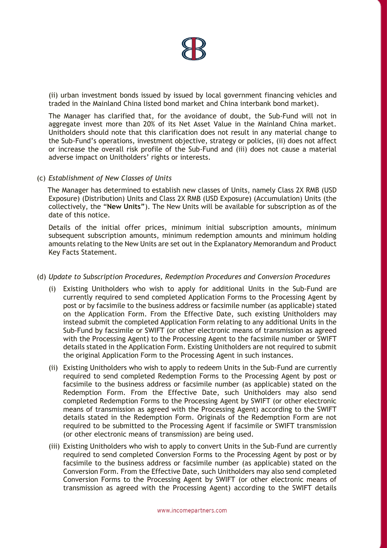

(ii) urban investment bonds issued by issued by local government financing vehicles and traded in the Mainland China listed bond market and China interbank bond market).

The Manager has clarified that, for the avoidance of doubt, the Sub-Fund will not in aggregate invest more than 20% of its Net Asset Value in the Mainland China market. Unitholders should note that this clarification does not result in any material change to the Sub-Fund's operations, investment objective, strategy or policies, (ii) does not affect or increase the overall risk profile of the Sub-Fund and (iii) does not cause a material adverse impact on Unitholders' rights or interests.

### (c) *Establishment of New Classes of Units*

 The Manager has determined to establish new classes of Units, namely Class 2X RMB (USD Exposure) (Distribution) Units and Class 2X RMB (USD Exposure) (Accumulation) Units (the collectively, the "**New Units"**). The New Units will be available for subscription as of the date of this notice.

Details of the initial offer prices, minimum initial subscription amounts, minimum subsequent subscription amounts, minimum redemption amounts and minimum holding amounts relating to the New Units are set out in the Explanatory Memorandum and Product Key Facts Statement.

#### (d) *Update to Subscription Procedures, Redemption Procedures and Conversion Procedures*

- (i) Existing Unitholders who wish to apply for additional Units in the Sub-Fund are currently required to send completed Application Forms to the Processing Agent by post or by facsimile to the business address or facsimile number (as applicable) stated on the Application Form. From the Effective Date, such existing Unitholders may instead submit the completed Application Form relating to any additional Units in the Sub-Fund by facsimile or SWIFT (or other electronic means of transmission as agreed with the Processing Agent) to the Processing Agent to the facsimile number or SWIFT details stated in the Application Form. Existing Unitholders are not required to submit the original Application Form to the Processing Agent in such instances.
- (ii) Existing Unitholders who wish to apply to redeem Units in the Sub-Fund are currently required to send completed Redemption Forms to the Processing Agent by post or facsimile to the business address or facsimile number (as applicable) stated on the Redemption Form. From the Effective Date, such Unitholders may also send completed Redemption Forms to the Processing Agent by SWIFT (or other electronic means of transmission as agreed with the Processing Agent) according to the SWIFT details stated in the Redemption Form. Originals of the Redemption Form are not required to be submitted to the Processing Agent if facsimile or SWIFT transmission (or other electronic means of transmission) are being used.
- required to send completed Conversion Forms to the Processing Agent by post or by (iii) Existing Unitholders who wish to apply to convert Units in the Sub-Fund are currently facsimile to the business address or facsimile number (as applicable) stated on the Conversion Form. From the Effective Date, such Unitholders may also send completed Conversion Forms to the Processing Agent by SWIFT (or other electronic means of transmission as agreed with the Processing Agent) according to the SWIFT details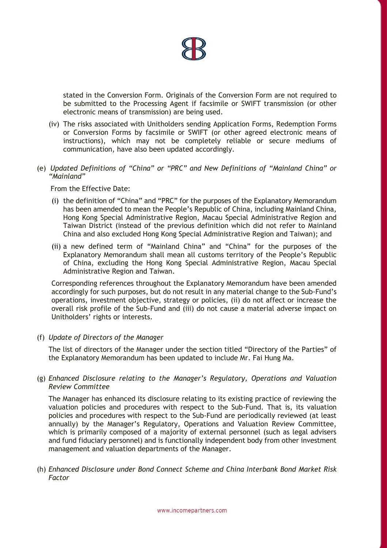

stated in the Conversion Form. Originals of the Conversion Form are not required to be submitted to the Processing Agent if facsimile or SWIFT transmission (or other electronic means of transmission) are being used.

- (iv) The risks associated with Unitholders sending Application Forms, Redemption Forms or Conversion Forms by facsimile or SWIFT (or other agreed electronic means of instructions), which may not be completely reliable or secure mediums of communication, have also been updated accordingly.
- (e) *Updated Definitions of "China" or "PRC" and New Definitions of "Mainland China" or "Mainland"*

From the Effective Date:

- (i) the definition of "China" and "PRC" for the purposes of the Explanatory Memorandum has been amended to mean the People's Republic of China, including Mainland China, Hong Kong Special Administrative Region, Macau Special Administrative Region and Taiwan District (instead of the previous definition which did not refer to Mainland China and also excluded Hong Kong Special Administrative Region and Taiwan); and
- (ii) a new defined term of "Mainland China" and "China" for the purposes of the Explanatory Memorandum shall mean all customs territory of the People's Republic of China, excluding the Hong Kong Special Administrative Region, Macau Special Administrative Region and Taiwan.

Corresponding references throughout the Explanatory Memorandum have been amended accordingly for such purposes, but do not result in any material change to the Sub-Fund's operations, investment objective, strategy or policies, (ii) do not affect or increase the overall risk profile of the Sub-Fund and (iii) do not cause a material adverse impact on Unitholders' rights or interests.

(f) *Update of Directors of the Manager*

The list of directors of the Manager under the section titled "Directory of the Parties" of the Explanatory Memorandum has been updated to include Mr. Fai Hung Ma.

(g) *Enhanced Disclosure relating to the Manager's Regulatory, Operations and Valuation Review Committee* 

The Manager has enhanced its disclosure relating to its existing practice of reviewing the valuation policies and procedures with respect to the Sub-Fund. That is, its valuation policies and procedures with respect to the Sub-Fund are periodically reviewed (at least annually) by the Manager's Regulatory, Operations and Valuation Review Committee, which is primarily composed of a majority of external personnel (such as legal advisers and fund fiduciary personnel) and is functionally independent body from other investment management and valuation departments of the Manager.

(h) *Enhanced Disclosure under Bond Connect Scheme and China Interbank Bond Market Risk Factor*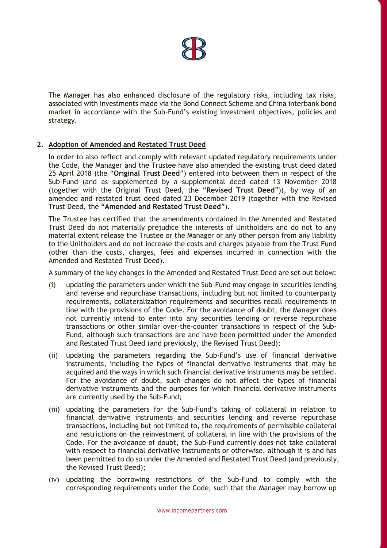

The Manager has also enhanced disclosure of the regulatory risks, including tax risks, associated with investments made via the Bond Connect Scheme and China interbank bond market in accordance with the Sub-Fund's existing investment objectives, policies and strategy.

# **2. Adoption of Amended and Restated Trust Deed**

In order to also reflect and comply with relevant updated regulatory requirements under the Code, the Manager and the Trustee have also amended the existing trust deed dated 25 April 2018 (the "**Original Trust Deed**") entered into between them in respect of the Sub-Fund (and as supplemented by a supplemental deed dated 13 November 2018 (together with the Original Trust Deed, the "**Revised Trust Deed**")), by way of an amended and restated trust deed dated 23 December 2019 (together with the Revised Trust Deed, the "**Amended and Restated Trust Deed**").

The Trustee has certified that the amendments contained in the Amended and Restated Trust Deed do not materially prejudice the interests of Unitholders and do not to any material extent release the Trustee or the Manager or any other person from any liability to the Unitholders and do not increase the costs and charges payable from the Trust Fund (other than the costs, charges, fees and expenses incurred in connection with the Amended and Restated Trust Deed).

A summary of the key changes in the Amended and Restated Trust Deed are set out below:

- (i) updating the parameters under which the Sub-Fund may engage in securities lending and reverse and repurchase transactions, including but not limited to counterparty requirements, collateralization requirements and securities recall requirements in line with the provisions of the Code. For the avoidance of doubt, the Manager does not currently intend to enter into any securities lending or reverse repurchase transactions or other similar over-the-counter transactions in respect of the Sub-Fund, although such transactions are and have been permitted under the Amended and Restated Trust Deed (and previously, the Revised Trust Deed);
- (ii) updating the parameters regarding the Sub-Fund's use of financial derivative instruments, including the types of financial derivative instruments that may be acquired and the ways in which such financial derivative instruments may be settled. For the avoidance of doubt, such changes do not affect the types of financial derivative instruments and the purposes for which financial derivative instruments are currently used by the Sub-Fund;
- with respect to financial derivative instruments or otherwise, although it is and has (iii) updating the parameters for the Sub-Fund's taking of collateral in relation to financial derivative instruments and securities lending and reverse repurchase transactions, including but not limited to, the requirements of permissible collateral and restrictions on the reinvestment of collateral in line with the provisions of the Code. For the avoidance of doubt, the Sub-Fund currently does not take collateral been permitted to do so under the Amended and Restated Trust Deed (and previously, the Revised Trust Deed);
- (iv) updating the borrowing restrictions of the Sub-Fund to comply with the corresponding requirements under the Code, such that the Manager may borrow up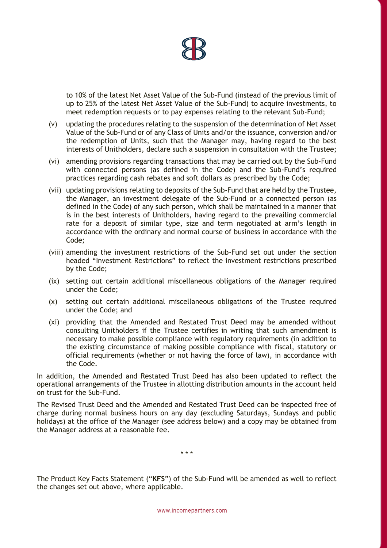

to 10% of the latest Net Asset Value of the Sub-Fund (instead of the previous limit of up to 25% of the latest Net Asset Value of the Sub-Fund) to acquire investments, to meet redemption requests or to pay expenses relating to the relevant Sub-Fund;

- (v) updating the procedures relating to the suspension of the determination of Net Asset Value of the Sub-Fund or of any Class of Units and/or the issuance, conversion and/or the redemption of Units, such that the Manager may, having regard to the best interests of Unitholders, declare such a suspension in consultation with the Trustee;
- (vi) amending provisions regarding transactions that may be carried out by the Sub-Fund with connected persons (as defined in the Code) and the Sub-Fund's required practices regarding cash rebates and soft dollars as prescribed by the Code;
- (vii) updating provisions relating to deposits of the Sub-Fund that are held by the Trustee, the Manager, an investment delegate of the Sub-Fund or a connected person (as defined in the Code) of any such person, which shall be maintained in a manner that is in the best interests of Unitholders, having regard to the prevailing commercial rate for a deposit of similar type, size and term negotiated at arm's length in accordance with the ordinary and normal course of business in accordance with the Code;
- (viii) amending the investment restrictions of the Sub-Fund set out under the section headed "Investment Restrictions" to reflect the investment restrictions prescribed by the Code;
- (ix) setting out certain additional miscellaneous obligations of the Manager required under the Code;
- (x) setting out certain additional miscellaneous obligations of the Trustee required under the Code; and
- (xi) providing that the Amended and Restated Trust Deed may be amended without consulting Unitholders if the Trustee certifies in writing that such amendment is necessary to make possible compliance with regulatory requirements (in addition to the existing circumstance of making possible compliance with fiscal, statutory or official requirements (whether or not having the force of law), in accordance with the Code.

In addition, the Amended and Restated Trust Deed has also been updated to reflect the operational arrangements of the Trustee in allotting distribution amounts in the account held on trust for the Sub-Fund.

The Revised Trust Deed and the Amended and Restated Trust Deed can be inspected free of charge during normal business hours on any day (excluding Saturdays, Sundays and public holidays) at the office of the Manager (see address below) and a copy may be obtained from the Manager address at a reasonable fee.

\* \* \*

The Product Key Facts Statement ("**KFS**") of the Sub-Fund will be amended as well to reflect the changes set out above, where applicable.